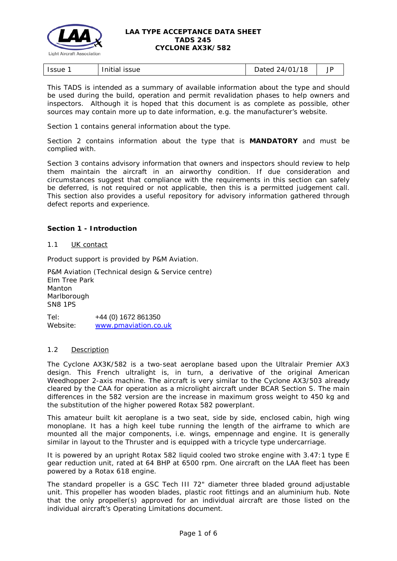

| .<br><b>Issue</b><br>Thitial<br><b>ISSUE</b> | 18<br>'47<br>hatari<br>patoa<br><u>_</u><br>. . | ັ |
|----------------------------------------------|-------------------------------------------------|---|
|----------------------------------------------|-------------------------------------------------|---|

This TADS is intended as a summary of available information about the type and should be used during the build, operation and permit revalidation phases to help owners and inspectors. Although it is hoped that this document is as complete as possible, other sources may contain more up to date information, e.g. the manufacturer's website.

Section 1 contains general information about the type.

Section 2 contains information about the type that is **MANDATORY** and must be complied with.

Section 3 contains advisory information that owners and inspectors should review to help them maintain the aircraft in an airworthy condition. If due consideration and circumstances suggest that compliance with the requirements in this section can safely be deferred, is not required or not applicable, then this is a permitted judgement call. This section also provides a useful repository for advisory information gathered through defect reports and experience.

## **Section 1 - Introduction**

### 1.1 UK contact

Product support is provided by P&M Aviation.

P&M Aviation (Technical design & Service centre) Elm Tree Park Manton Marlborough SN8 1PS

Tel: +44 (0) 1672 861350 Website: [www.pmaviation.co.uk](http://www.pmaviation.co.uk/)

#### 1.2 Description

The Cyclone AX3K/582 is a two-seat aeroplane based upon the Ultralair Premier AX3 design. This French ultralight is, in turn, a derivative of the original American Weedhopper 2-axis machine. The aircraft is very similar to the Cyclone AX3/503 already cleared by the CAA for operation as a microlight aircraft under BCAR Section S. The main differences in the 582 version are the increase in maximum gross weight to 450 kg and the substitution of the higher powered Rotax 582 powerplant.

This amateur built kit aeroplane is a two seat, side by side, enclosed cabin, high wing monoplane. It has a high keel tube running the length of the airframe to which are mounted all the major components, i.e. wings, empennage and engine. It is generally similar in layout to the Thruster and is equipped with a tricycle type undercarriage.

It is powered by an upright Rotax 582 liquid cooled two stroke engine with 3.47:1 type E gear reduction unit, rated at 64 BHP at 6500 rpm. One aircraft on the LAA fleet has been powered by a Rotax 618 engine.

The standard propeller is a GSC Tech III 72" diameter three bladed ground adjustable unit. This propeller has wooden blades, plastic root fittings and an aluminium hub. Note that the only propeller(s) approved for an individual aircraft are those listed on the individual aircraft's Operating Limitations document.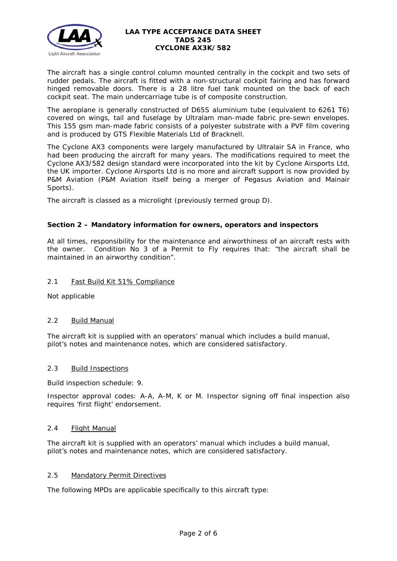

The aircraft has a single control column mounted centrally in the cockpit and two sets of rudder pedals. The aircraft is fitted with a non-structural cockpit fairing and has forward hinged removable doors. There is a 28 litre fuel tank mounted on the back of each cockpit seat. The main undercarriage tube is of composite construction.

The aeroplane is generally constructed of D65S aluminium tube (equivalent to 6261 T6) covered on wings, tail and fuselage by Ultralam man-made fabric pre-sewn envelopes. This 155 gsm man-made fabric consists of a polyester substrate with a PVF film covering and is produced by GTS Flexible Materials Ltd of Bracknell.

The Cyclone AX3 components were largely manufactured by Ultralair SA in France, who had been producing the aircraft for many years. The modifications required to meet the Cyclone AX3/582 design standard were incorporated into the kit by Cyclone Airsports Ltd, the UK importer. Cyclone Airsports Ltd is no more and aircraft support is now provided by P&M Aviation (P&M Aviation itself being a merger of Pegasus Aviation and Mainair Sports).

The aircraft is classed as a microlight (previously termed group D).

# **Section 2 – Mandatory information for owners, operators and inspectors**

At all times, responsibility for the maintenance and airworthiness of an aircraft rests with the owner. Condition No 3 of a Permit to Fly requires that: *"the aircraft shall be maintained in an airworthy condition".* 

## 2.1 Fast Build Kit 51% Compliance

Not applicable

## 2.2 Build Manual

The aircraft kit is supplied with an operators' manual which includes a build manual, pilot's notes and maintenance notes, which are considered satisfactory.

## 2.3 Build Inspections

Build inspection schedule: 9.

Inspector approval codes: A-A, A-M, K or M. Inspector signing off final inspection also requires 'first flight' endorsement.

#### 2.4 Flight Manual

The aircraft kit is supplied with an operators' manual which includes a build manual, pilot's notes and maintenance notes, which are considered satisfactory.

## 2.5 Mandatory Permit Directives

The following MPDs are applicable specifically to this aircraft type: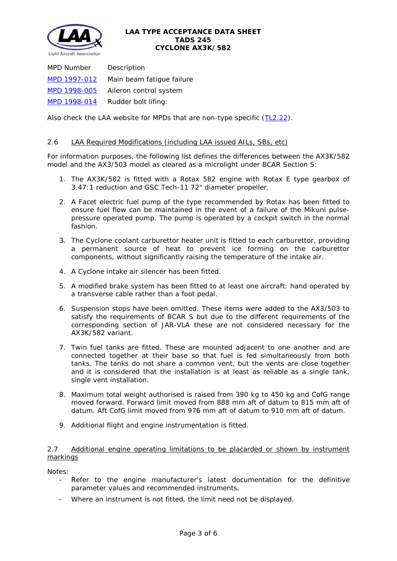

*MPD Number Description* [MPD 1997-012](http://www.lightaircraftassociation.co.uk/engineering/TADs/245/MPD%201997-012.pdf) Main beam fatigue failure [MPD 1998-005](http://www.lightaircraftassociation.co.uk/engineering/TADs/245/MPD%201998-005.pdf) Aileron control system [MPD 1998-014](http://www.lightaircraftassociation.co.uk/engineering/TADs/245/MPD%201998-014.pdf) Rudder bolt lifing:

Also check the LAA website for MPDs that are non-type specific [\(TL2.22\)](http://www.lightaircraftassociation.co.uk/engineering/TechnicalLeaflets/Operating%20An%20Aircraft/TL%202.22%20non-type%20specific%20MPDs.pdf).

## 2.6 LAA Required Modifications (including LAA issued AILs, SBs, etc)

For information purposes, the following list defines the differences between the AX3K/582 model and the AX3/503 model as cleared as a microlight under BCAR Section S:

- 1. The AX3K/582 is fitted with a Rotax 582 engine with Rotax E type gearbox of 3.47:1 reduction and GSC Tech-11 72" diameter propeller.
- 2. A Facet electric fuel pump of the type recommended by Rotax has been fitted to ensure fuel flow can be maintained in the event of a failure of the Mikuni pulsepressure operated pump. The pump is operated by a cockpit switch in the normal fashion.
- 3. The Cyclone coolant carburettor heater unit is fitted to each carburettor, providing a permanent source of heat to prevent ice forming on the carburettor components, without significantly raising the temperature of the intake air.
- 4. A Cyclone intake air silencer has been fitted.
- 5. A modified brake system has been fitted to at least one aircraft: hand operated by a transverse cable rather than a foot pedal.
- 6. Suspension stops have been omitted. These items were added to the AX3/503 to satisfy the requirements of BCAR S but due to the different requirements of the corresponding section of JAR-VLA these are not considered necessary for the AX3K/582 variant.
- 7. Twin fuel tanks are fitted. These are mounted adjacent to one another and are connected together at their base so that fuel is fed simultaneously from both tanks. The tanks do not share a common vent, but the vents are close together and it is considered that the installation is at least as reliable as a single tank, single vent installation.
- 8. Maximum total weight authorised is raised from 390 kg to 450 kg and CofG range moved forward. Forward limit moved from 888 mm aft of datum to 815 mm aft of datum. Aft CofG limit moved from 976 mm aft of datum to 910 mm aft of datum.
- 9. Additional flight and engine instrumentation is fitted.

## 2.7 Additional engine operating limitations to be placarded or shown by instrument markings

Notes:

- Refer to the engine manufacturer's latest documentation for the definitive parameter values and recommended instruments.
- Where an instrument is not fitted, the limit need not be displayed.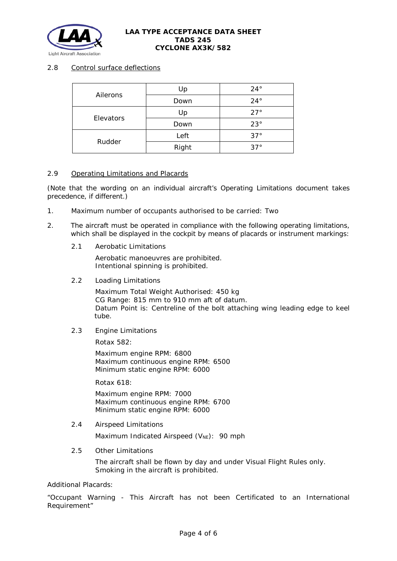

# 2.8 Control surface deflections

| Ailerons  | Up    | $24^{\circ}$ |
|-----------|-------|--------------|
|           | Down  | $24^{\circ}$ |
| Elevators | Up    | $27^\circ$   |
|           | Down  | $23^\circ$   |
| Rudder    | Left  | $37^\circ$   |
|           | Right | $37^\circ$   |

## 2.9 Operating Limitations and Placards

(Note that the wording on an individual aircraft's Operating Limitations document takes precedence, if different.)

- 1. Maximum number of occupants authorised to be carried: Two
- 2. The aircraft must be operated in compliance with the following operating limitations, which shall be displayed in the cockpit by means of placards or instrument markings:
	- 2.1 Aerobatic Limitations

Aerobatic manoeuvres are prohibited. Intentional spinning is prohibited.

2.2 Loading Limitations

Maximum Total Weight Authorised: 450 kg CG Range: 815 mm to 910 mm aft of datum. Datum Point is: Centreline of the bolt attaching wing leading edge to keel tube.

2.3 Engine Limitations

Rotax 582:

Maximum engine RPM: 6800 Maximum continuous engine RPM: 6500 Minimum static engine RPM: 6000

Rotax 618:

Maximum engine RPM: 7000 Maximum continuous engine RPM: 6700 Minimum static engine RPM: 6000

2.4 Airspeed Limitations

Maximum Indicated Airspeed  $(V_{NE})$ : 90 mph

2.5 Other Limitations

The aircraft shall be flown by day and under Visual Flight Rules only. Smoking in the aircraft is prohibited.

Additional Placards:

"Occupant Warning - This Aircraft has not been Certificated to an International Requirement"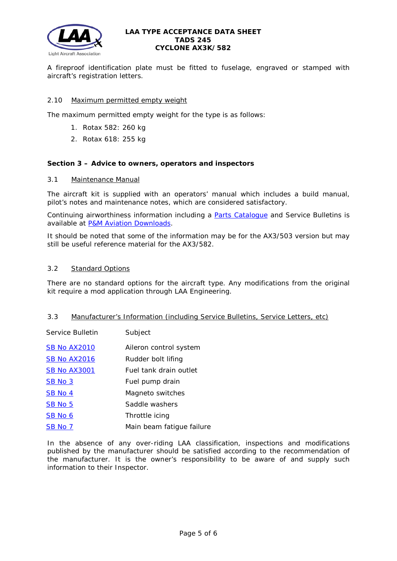

A fireproof identification plate must be fitted to fuselage, engraved or stamped with aircraft's registration letters.

# 2.10 Maximum permitted empty weight

The maximum permitted empty weight for the type is as follows:

- 1. Rotax 582: 260 kg
- 2. Rotax 618: 255 kg

#### **Section 3 – Advice to owners, operators and inspectors**

#### 3.1 Maintenance Manual

The aircraft kit is supplied with an operators' manual which includes a build manual, pilot's notes and maintenance notes, which are considered satisfactory.

Continuing airworthiness information including a [Parts Catalogue](http://www.lightaircraftassociation.co.uk/engineering/TADs/245/AX3%20Parts%20Catalogue%20Issue%203.pdf) and Service Bulletins is available at [P&M Aviation Downloads.](http://www.pmaviation.co.uk/downloads_new.php)

It should be noted that some of the information may be for the AX3/503 version but may still be useful reference material for the AX3/582.

## 3.2 Standard Options

There are no standard options for the aircraft type. Any modifications from the original kit require a mod application through LAA Engineering.

#### 3.3 Manufacturer's Information (including Service Bulletins, Service Letters, etc)

*Service Bulletin Subject*

| <b>SB No AX2010</b> | Aileron control system    |
|---------------------|---------------------------|
| <b>SB No AX2016</b> | Rudder bolt lifing        |
| <b>SB No AX3001</b> | Fuel tank drain outlet    |
| <b>SB No 3</b>      | Fuel pump drain           |
| <b>SB No 4</b>      | Magneto switches          |
| <b>SB No 5</b>      | Saddle washers            |
| <b>SB No 6</b>      | Throttle icing            |
| <b>SB No 7</b>      | Main beam fatigue failure |

In the absence of any over-riding LAA classification, inspections and modifications published by the manufacturer should be satisfied according to the recommendation of the manufacturer. It is the owner's responsibility to be aware of and supply such information to their Inspector.